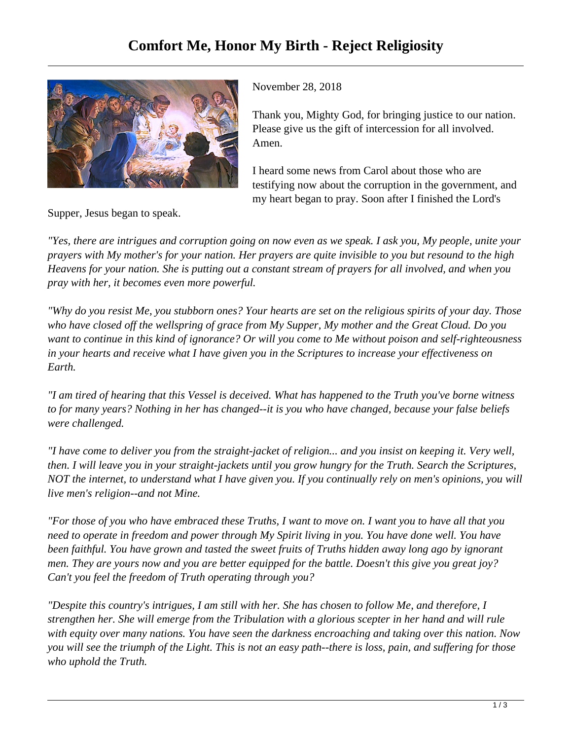

Supper, Jesus began to speak.

November 28, 2018

Thank you, Mighty God, for bringing justice to our nation. Please give us the gift of intercession for all involved. Amen.

I heard some news from Carol about those who are testifying now about the corruption in the government, and my heart began to pray. Soon after I finished the Lord's

*"Yes, there are intrigues and corruption going on now even as we speak. I ask you, My people, unite your prayers with My mother's for your nation. Her prayers are quite invisible to you but resound to the high Heavens for your nation. She is putting out a constant stream of prayers for all involved, and when you pray with her, it becomes even more powerful.*

*"Why do you resist Me, you stubborn ones? Your hearts are set on the religious spirits of your day. Those who have closed off the wellspring of grace from My Supper, My mother and the Great Cloud. Do you want to continue in this kind of ignorance? Or will you come to Me without poison and self-righteousness in your hearts and receive what I have given you in the Scriptures to increase your effectiveness on Earth.* 

*"I am tired of hearing that this Vessel is deceived. What has happened to the Truth you've borne witness to for many years? Nothing in her has changed--it is you who have changed, because your false beliefs were challenged.*

*"I have come to deliver you from the straight-jacket of religion... and you insist on keeping it. Very well, then. I will leave you in your straight-jackets until you grow hungry for the Truth. Search the Scriptures, NOT the internet, to understand what I have given you. If you continually rely on men's opinions, you will live men's religion--and not Mine.* 

*"For those of you who have embraced these Truths, I want to move on. I want you to have all that you need to operate in freedom and power through My Spirit living in you. You have done well. You have been faithful. You have grown and tasted the sweet fruits of Truths hidden away long ago by ignorant men. They are yours now and you are better equipped for the battle. Doesn't this give you great joy? Can't you feel the freedom of Truth operating through you?*

*"Despite this country's intrigues, I am still with her. She has chosen to follow Me, and therefore, I strengthen her. She will emerge from the Tribulation with a glorious scepter in her hand and will rule with equity over many nations. You have seen the darkness encroaching and taking over this nation. Now you will see the triumph of the Light. This is not an easy path--there is loss, pain, and suffering for those who uphold the Truth.*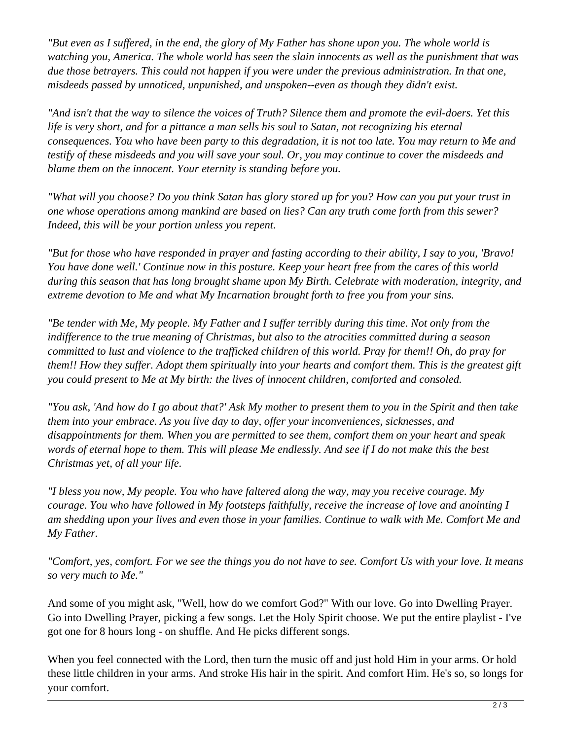*"But even as I suffered, in the end, the glory of My Father has shone upon you. The whole world is watching you, America. The whole world has seen the slain innocents as well as the punishment that was due those betrayers. This could not happen if you were under the previous administration. In that one, misdeeds passed by unnoticed, unpunished, and unspoken--even as though they didn't exist.*

*"And isn't that the way to silence the voices of Truth? Silence them and promote the evil-doers. Yet this life is very short, and for a pittance a man sells his soul to Satan, not recognizing his eternal consequences. You who have been party to this degradation, it is not too late. You may return to Me and testify of these misdeeds and you will save your soul. Or, you may continue to cover the misdeeds and blame them on the innocent. Your eternity is standing before you.* 

*"What will you choose? Do you think Satan has glory stored up for you? How can you put your trust in one whose operations among mankind are based on lies? Can any truth come forth from this sewer? Indeed, this will be your portion unless you repent.*

*"But for those who have responded in prayer and fasting according to their ability, I say to you, 'Bravo! You have done well.' Continue now in this posture. Keep your heart free from the cares of this world during this season that has long brought shame upon My Birth. Celebrate with moderation, integrity, and extreme devotion to Me and what My Incarnation brought forth to free you from your sins.*

*"Be tender with Me, My people. My Father and I suffer terribly during this time. Not only from the indifference to the true meaning of Christmas, but also to the atrocities committed during a season committed to lust and violence to the trafficked children of this world. Pray for them!! Oh, do pray for them!! How they suffer. Adopt them spiritually into your hearts and comfort them. This is the greatest gift you could present to Me at My birth: the lives of innocent children, comforted and consoled.* 

*"You ask, 'And how do I go about that?' Ask My mother to present them to you in the Spirit and then take them into your embrace. As you live day to day, offer your inconveniences, sicknesses, and disappointments for them. When you are permitted to see them, comfort them on your heart and speak words of eternal hope to them. This will please Me endlessly. And see if I do not make this the best Christmas yet, of all your life.*

*"I bless you now, My people. You who have faltered along the way, may you receive courage. My courage. You who have followed in My footsteps faithfully, receive the increase of love and anointing I am shedding upon your lives and even those in your families. Continue to walk with Me. Comfort Me and My Father.*

*"Comfort, yes, comfort. For we see the things you do not have to see. Comfort Us with your love. It means so very much to Me."*

And some of you might ask, "Well, how do we comfort God?" With our love. Go into Dwelling Prayer. Go into Dwelling Prayer, picking a few songs. Let the Holy Spirit choose. We put the entire playlist - I've got one for 8 hours long - on shuffle. And He picks different songs.

When you feel connected with the Lord, then turn the music off and just hold Him in your arms. Or hold these little children in your arms. And stroke His hair in the spirit. And comfort Him. He's so, so longs for your comfort.